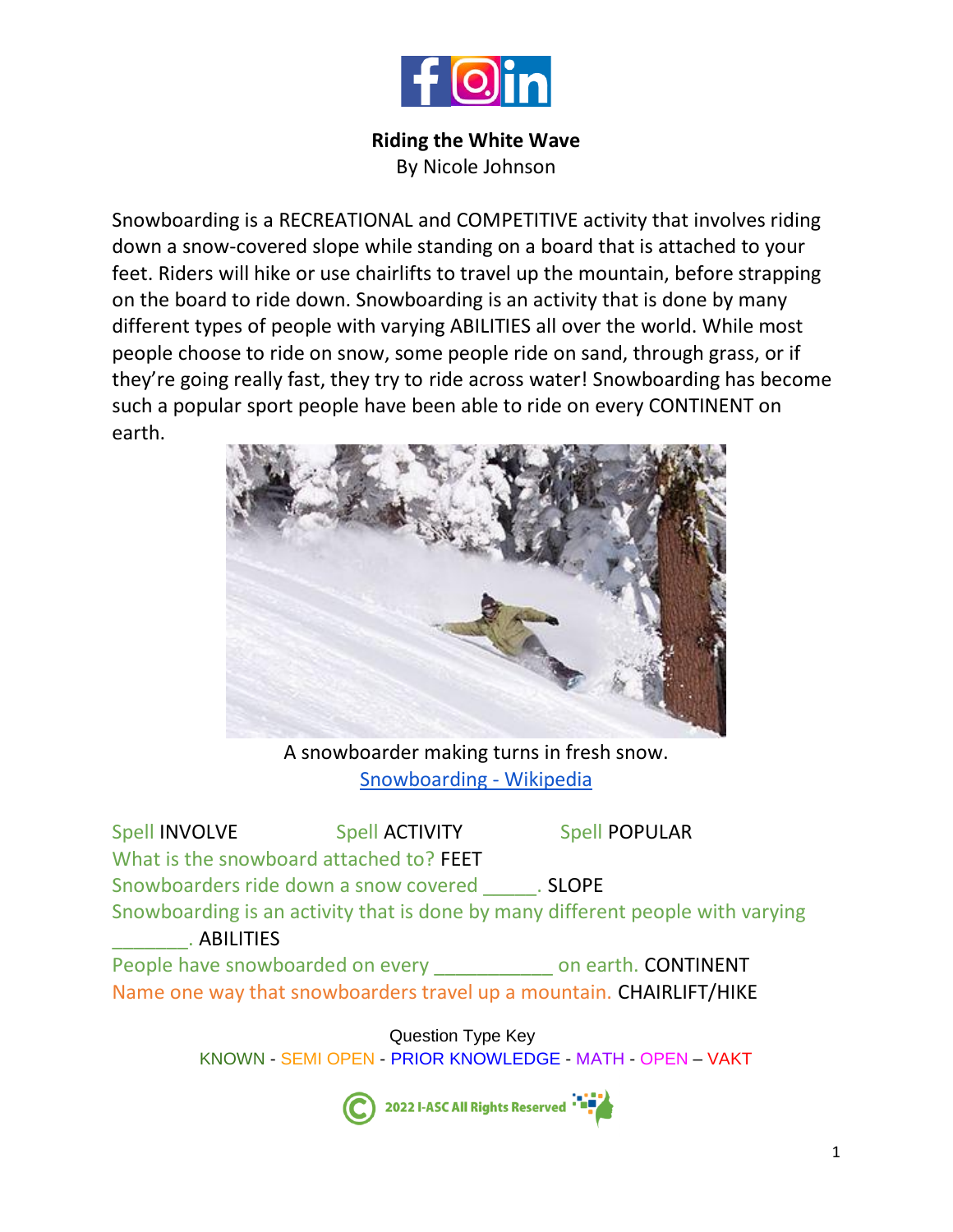

## **Riding the White Wave**

By Nicole Johnson

Snowboarding is a RECREATIONAL and COMPETITIVE activity that involves riding down a snow-covered slope while standing on a board that is attached to your feet. Riders will hike or use chairlifts to travel up the mountain, before strapping on the board to ride down. Snowboarding is an activity that is done by many different types of people with varying ABILITIES all over the world. While most people choose to ride on snow, some people ride on sand, through grass, or if they're going really fast, they try to ride across water! Snowboarding has become such a popular sport people have been able to ride on every CONTINENT on earth.



A snowboarder making turns in fresh snow. [Snowboarding -](https://en.wikipedia.org/wiki/Snowboarding) Wikipedia

Spell INVOLVE Spell ACTIVITY Spell POPULAR What is the snowboard attached to? FEET Snowboarders ride down a snow covered **SLOPE** Snowboarding is an activity that is done by many different people with varying \_\_\_\_\_\_\_. ABILITIES People have snowboarded on every \_\_\_\_\_\_\_\_\_\_\_\_ on earth. CONTINENT Name one way that snowboarders travel up a mountain. CHAIRLIFT/HIKE

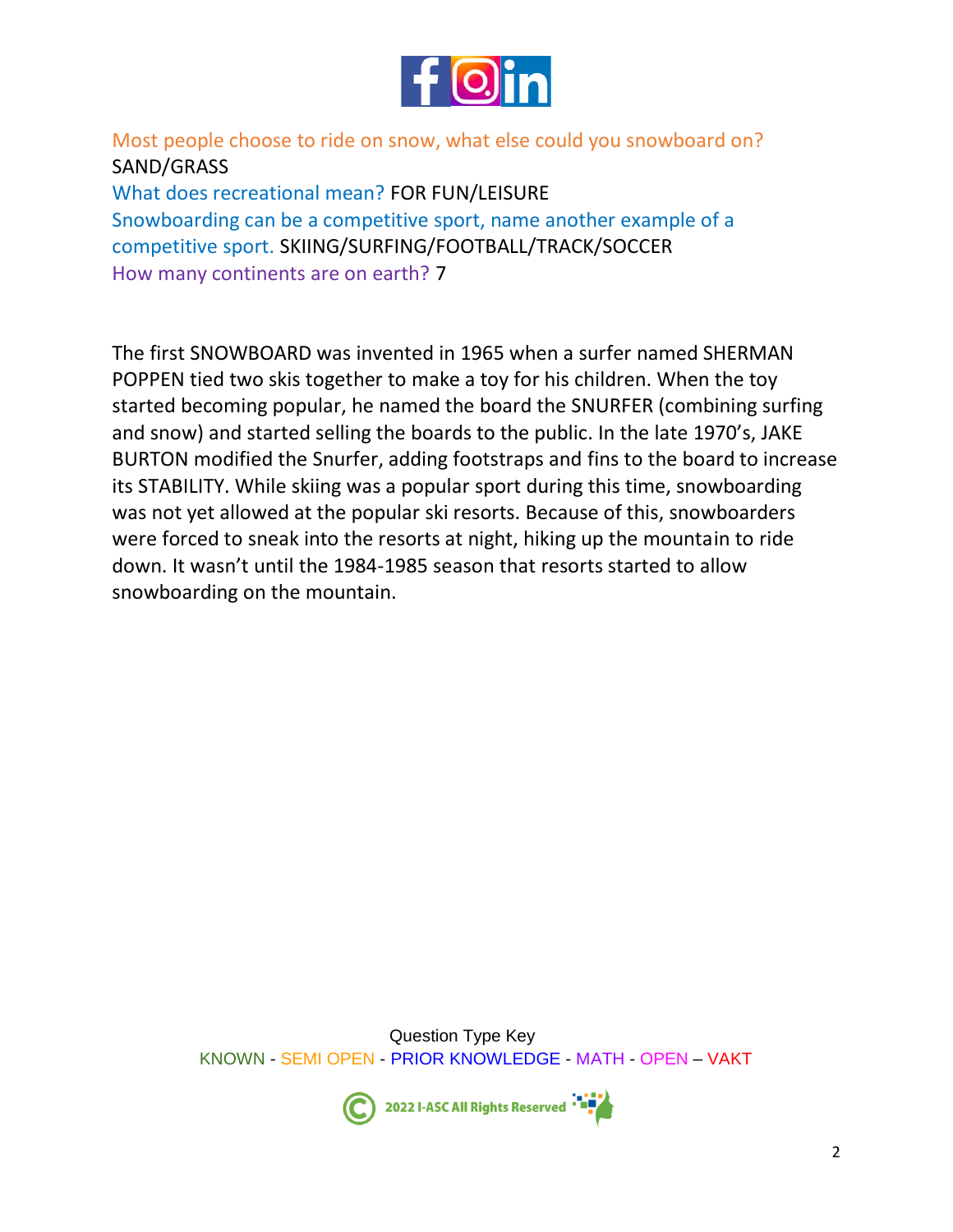

Most people choose to ride on snow, what else could you snowboard on? SAND/GRASS What does recreational mean? FOR FUN/LEISURE Snowboarding can be a competitive sport, name another example of a competitive sport. SKIING/SURFING/FOOTBALL/TRACK/SOCCER

How many continents are on earth? 7

The first SNOWBOARD was invented in 1965 when a surfer named SHERMAN POPPEN tied two skis together to make a toy for his children. When the toy started becoming popular, he named the board the SNURFER (combining surfing and snow) and started selling the boards to the public. In the late 1970's, JAKE BURTON modified the Snurfer, adding footstraps and fins to the board to increase its STABILITY. While skiing was a popular sport during this time, snowboarding was not yet allowed at the popular ski resorts. Because of this, snowboarders were forced to sneak into the resorts at night, hiking up the mountain to ride down. It wasn't until the 1984-1985 season that resorts started to allow snowboarding on the mountain.

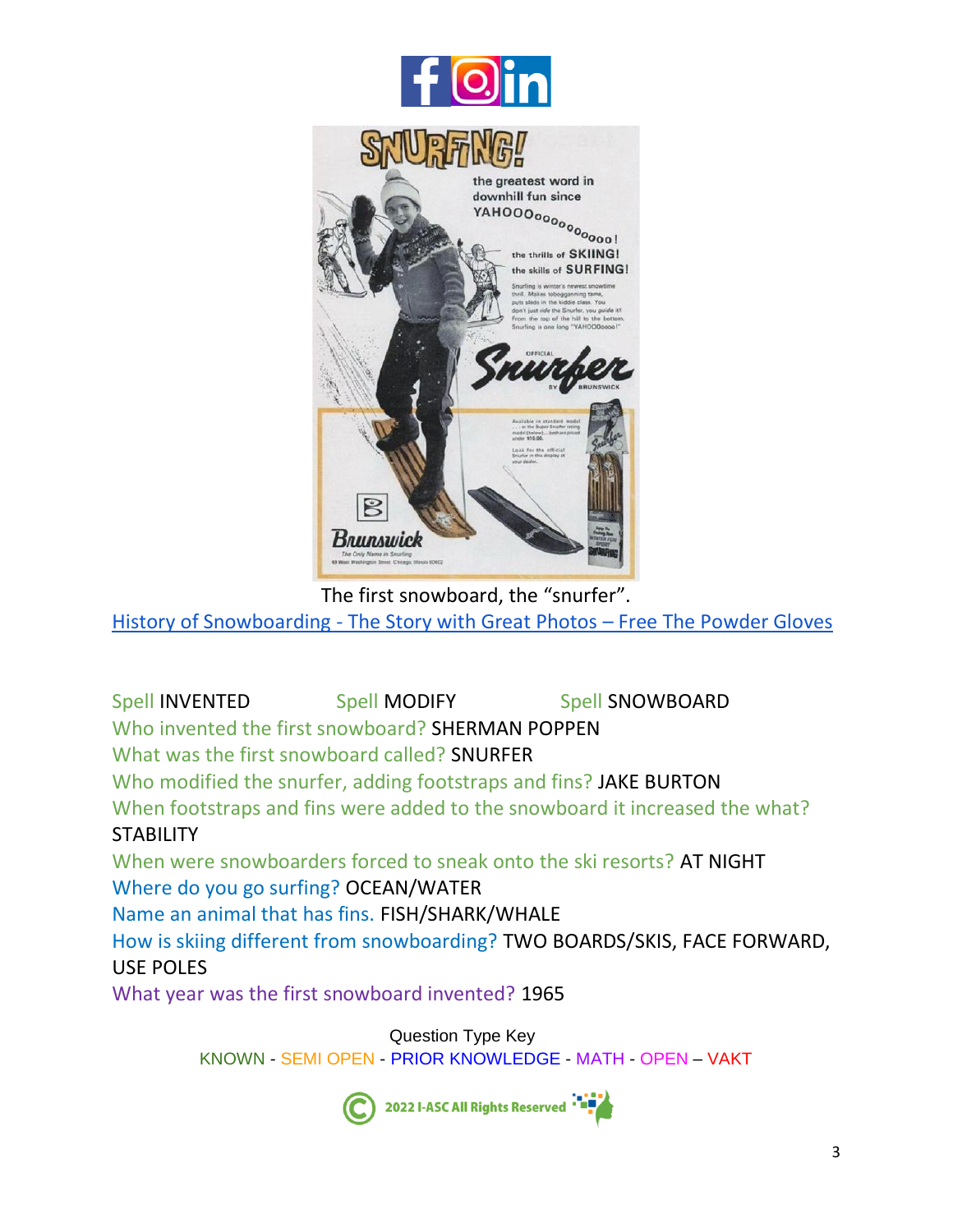

The first snowboard, the "snurfer".

History of Snowboarding - [The Story with Great Photos](https://www.freethepowder.com/pages/history-of-snowboarding) – Free The Powder Gloves

Spell INVENTED Spell MODIFY Spell SNOWBOARD Who invented the first snowboard? SHERMAN POPPEN What was the first snowboard called? SNURFER Who modified the snurfer, adding footstraps and fins? JAKE BURTON When footstraps and fins were added to the snowboard it increased the what? STABILITY When were snowboarders forced to sneak onto the ski resorts? AT NIGHT Where do you go surfing? OCEAN/WATER Name an animal that has fins. FISH/SHARK/WHALE How is skiing different from snowboarding? TWO BOARDS/SKIS, FACE FORWARD, USE POLES

What year was the first snowboard invented? 1965

Question Type Key KNOWN - SEMI OPEN - PRIOR KNOWLEDGE - MATH - OPEN – VAKT



2022 I-ASC All Rights Reserved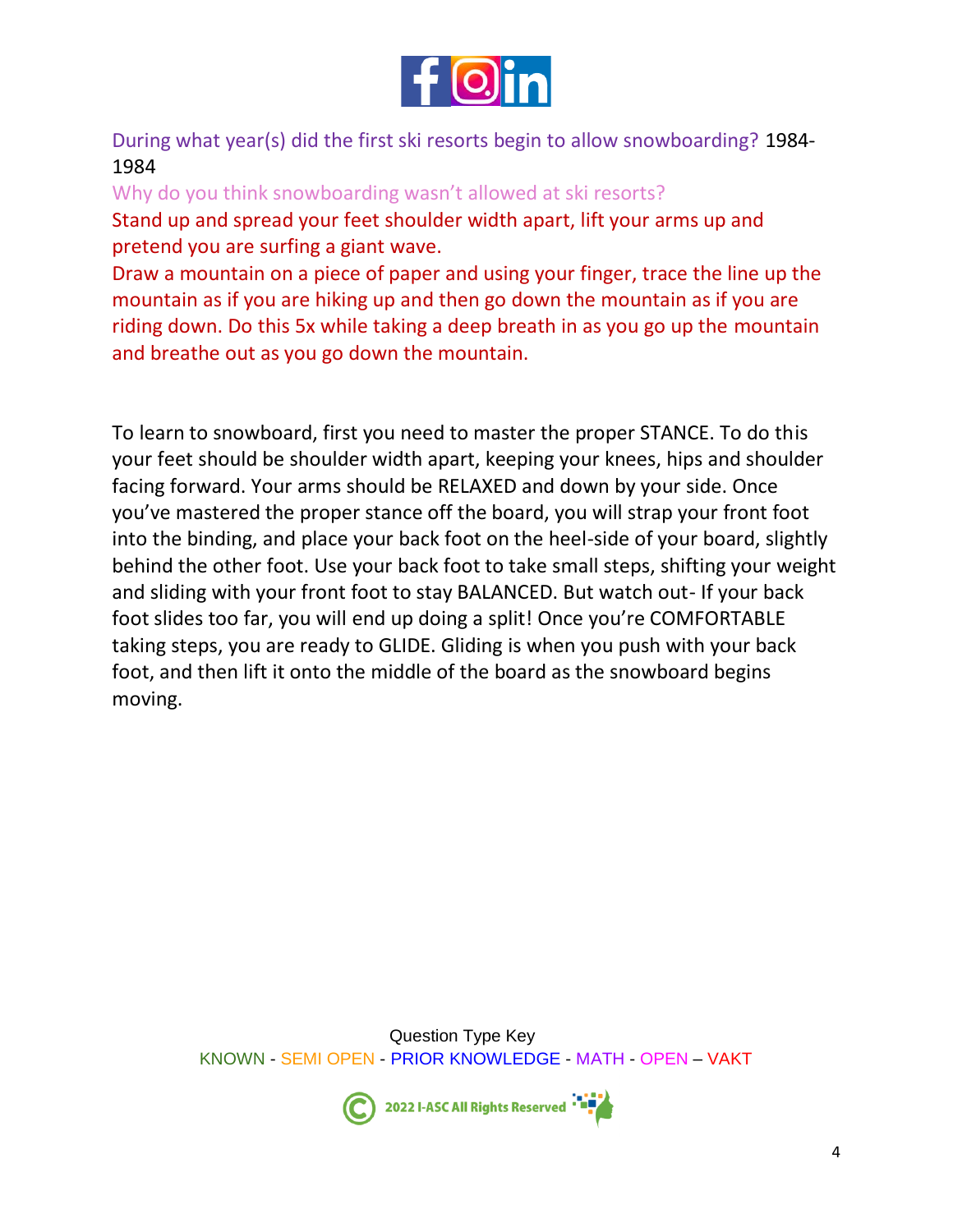

During what year(s) did the first ski resorts begin to allow snowboarding? 1984- 1984

Why do you think snowboarding wasn't allowed at ski resorts?

Stand up and spread your feet shoulder width apart, lift your arms up and pretend you are surfing a giant wave.

Draw a mountain on a piece of paper and using your finger, trace the line up the mountain as if you are hiking up and then go down the mountain as if you are riding down. Do this 5x while taking a deep breath in as you go up the mountain and breathe out as you go down the mountain.

To learn to snowboard, first you need to master the proper STANCE. To do this your feet should be shoulder width apart, keeping your knees, hips and shoulder facing forward. Your arms should be RELAXED and down by your side. Once you've mastered the proper stance off the board, you will strap your front foot into the binding, and place your back foot on the heel-side of your board, slightly behind the other foot. Use your back foot to take small steps, shifting your weight and sliding with your front foot to stay BALANCED. But watch out- If your back foot slides too far, you will end up doing a split! Once you're COMFORTABLE taking steps, you are ready to GLIDE. Gliding is when you push with your back foot, and then lift it onto the middle of the board as the snowboard begins moving.

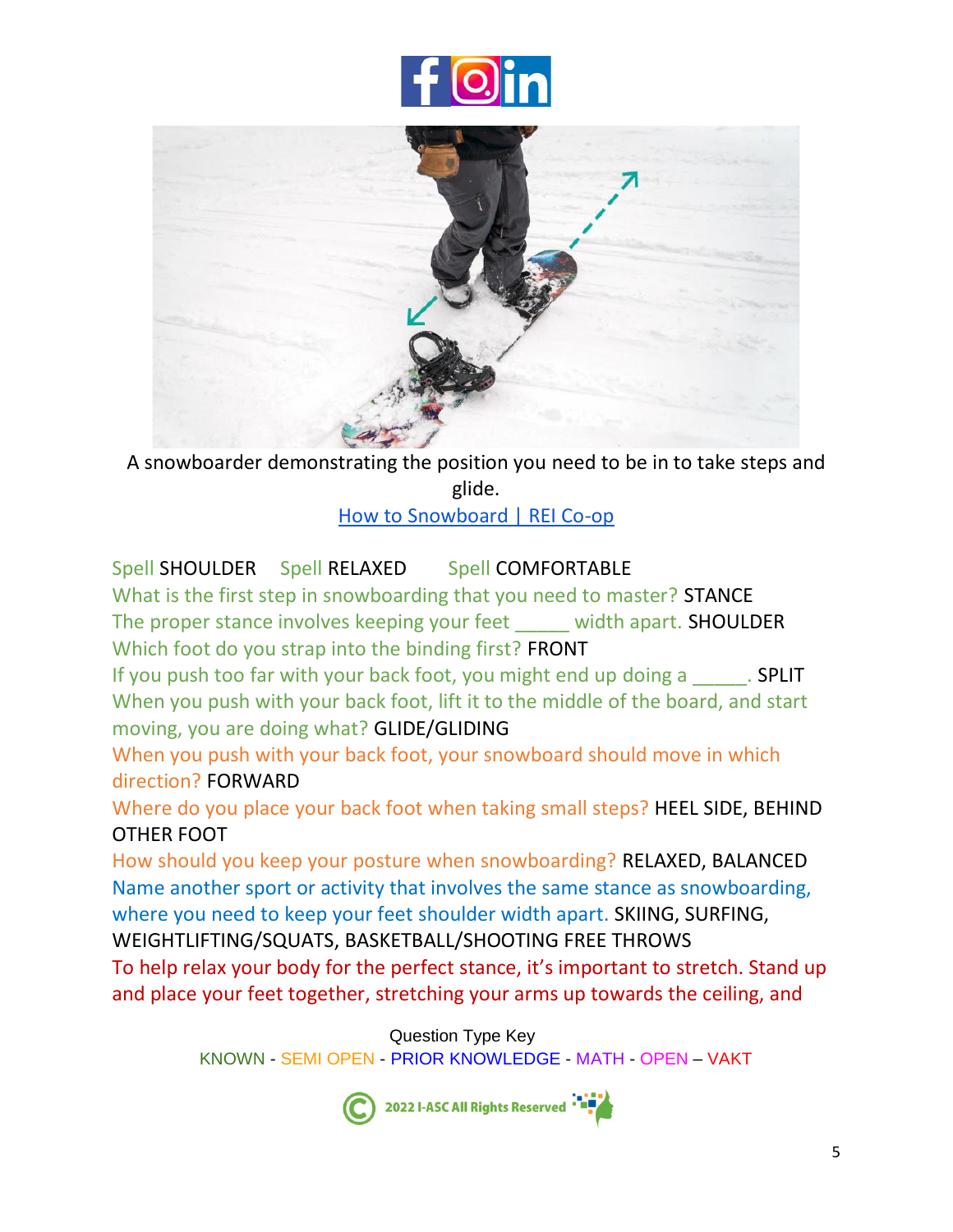



A snowboarder demonstrating the position you need to be in to take steps and glide.

[How to Snowboard | REI Co-op](https://www.rei.com/learn/expert-advice/how-to-snowboard.html)

## Spell SHOULDER Spell RELAXED Spell COMFORTABLE

What is the first step in snowboarding that you need to master? STANCE The proper stance involves keeping your feet width apart. SHOULDER Which foot do you strap into the binding first? FRONT

If you push too far with your back foot, you might end up doing a \_\_\_\_\_\_. SPLIT When you push with your back foot, lift it to the middle of the board, and start moving, you are doing what? GLIDE/GLIDING

When you push with your back foot, your snowboard should move in which direction? FORWARD

Where do you place your back foot when taking small steps? HEEL SIDE, BEHIND OTHER FOOT

How should you keep your posture when snowboarding? RELAXED, BALANCED Name another sport or activity that involves the same stance as snowboarding, where you need to keep your feet shoulder width apart. SKIING, SURFING, WEIGHTLIFTING/SQUATS, BASKETBALL/SHOOTING FREE THROWS

To help relax your body for the perfect stance, it's important to stretch. Stand up and place your feet together, stretching your arms up towards the ceiling, and

Question Type Key

KNOWN - SEMI OPEN - PRIOR KNOWLEDGE - MATH - OPEN – VAKT

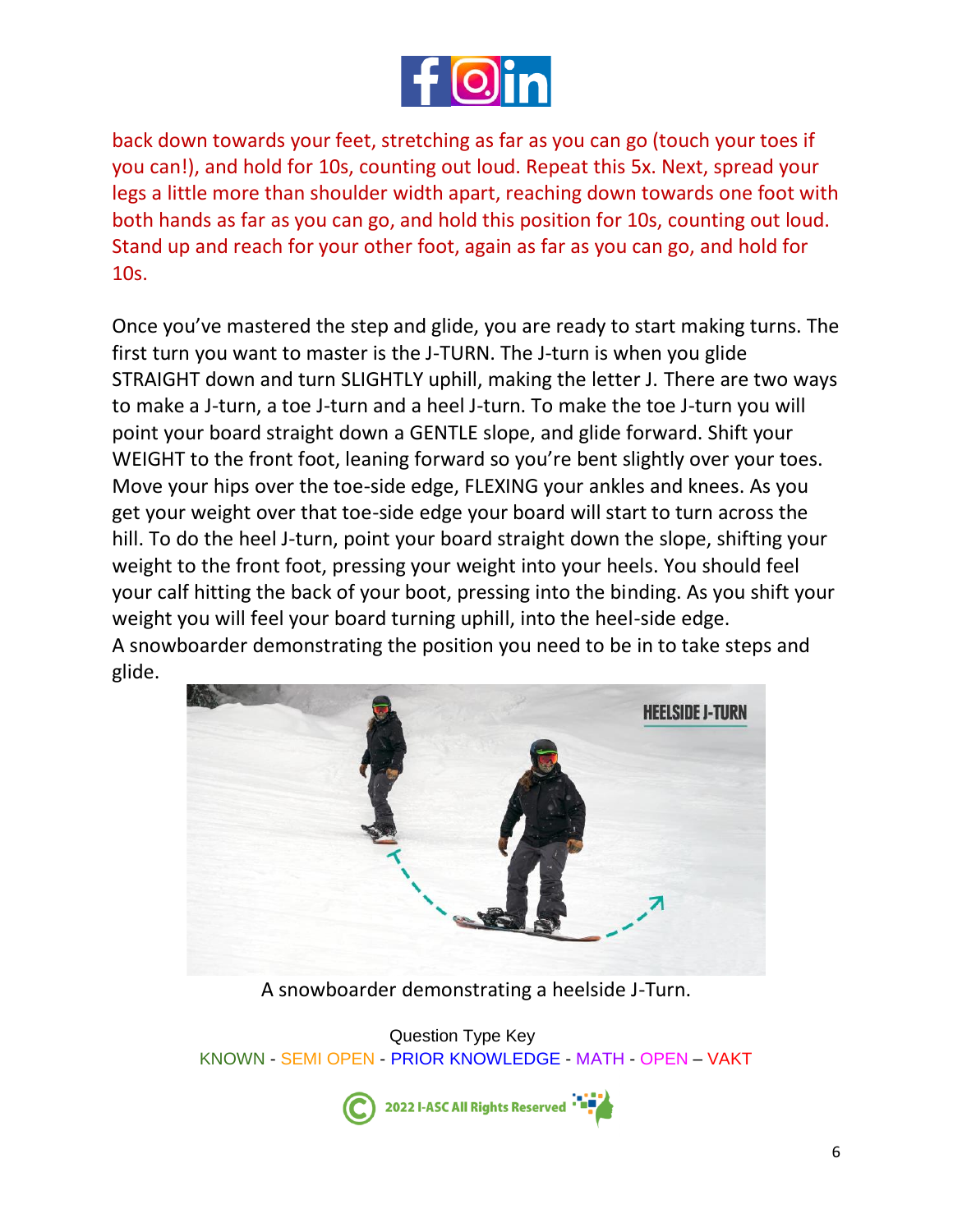

back down towards your feet, stretching as far as you can go (touch your toes if you can!), and hold for 10s, counting out loud. Repeat this 5x. Next, spread your legs a little more than shoulder width apart, reaching down towards one foot with both hands as far as you can go, and hold this position for 10s, counting out loud. Stand up and reach for your other foot, again as far as you can go, and hold for 10s.

Once you've mastered the step and glide, you are ready to start making turns. The first turn you want to master is the J-TURN. The J-turn is when you glide STRAIGHT down and turn SLIGHTLY uphill, making the letter J. There are two ways to make a J-turn, a toe J-turn and a heel J-turn. To make the toe J-turn you will point your board straight down a GENTLE slope, and glide forward. Shift your WEIGHT to the front foot, leaning forward so you're bent slightly over your toes. Move your hips over the toe-side edge, FLEXING your ankles and knees. As you get your weight over that toe-side edge your board will start to turn across the hill. To do the heel J-turn, point your board straight down the slope, shifting your weight to the front foot, pressing your weight into your heels. You should feel your calf hitting the back of your boot, pressing into the binding. As you shift your weight you will feel your board turning uphill, into the heel-side edge. A snowboarder demonstrating the position you need to be in to take steps and glide.



A snowboarder demonstrating a heelside J-Turn.

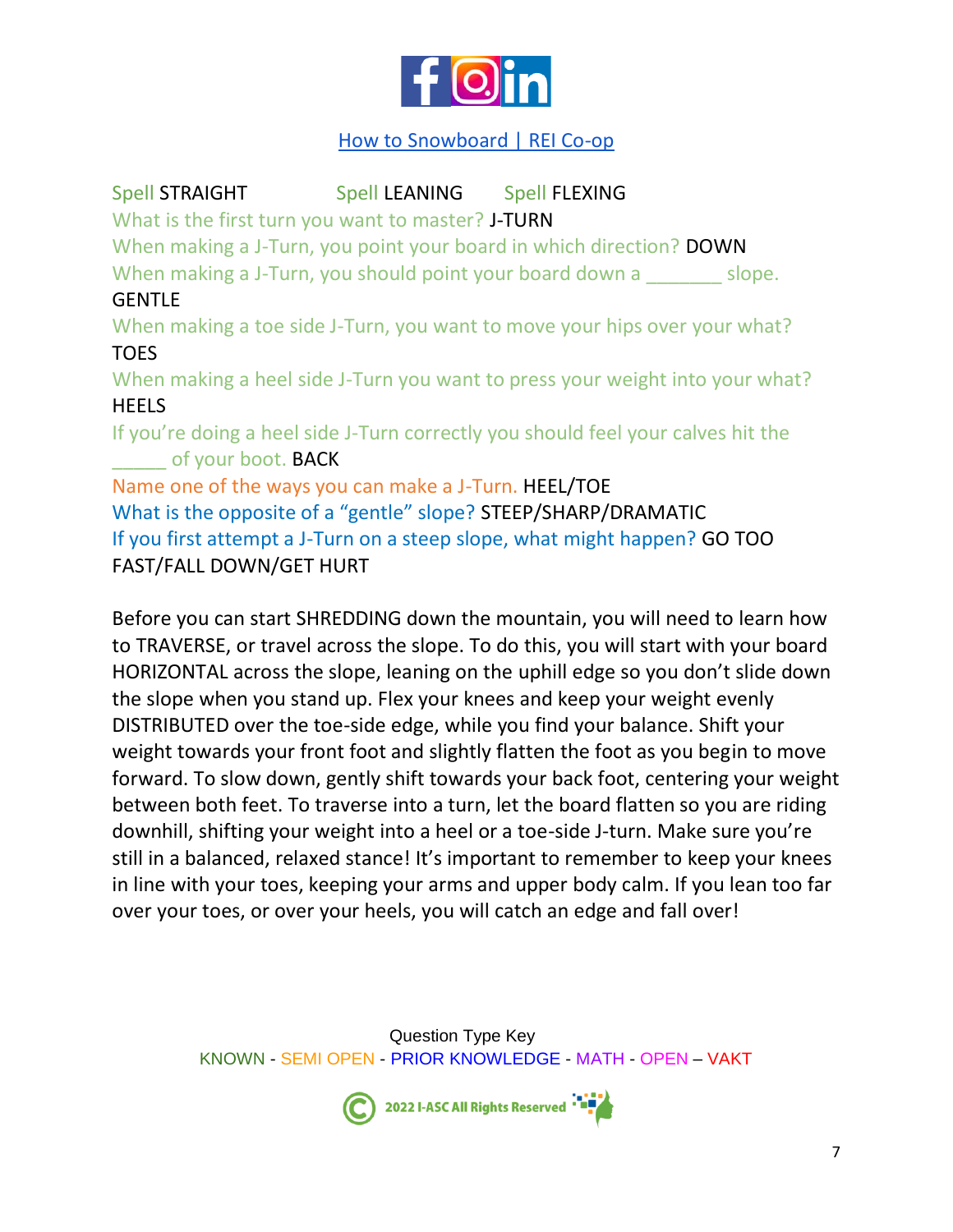

## [How to Snowboard | REI Co-op](https://www.rei.com/learn/expert-advice/how-to-snowboard.html)

Spell STRAIGHT Spell LEANING Spell FLEXING What is the first turn you want to master? J-TURN When making a J-Turn, you point your board in which direction? **DOWN** When making a J-Turn, you should point your board down a slope. **GENTLE** When making a toe side J-Turn, you want to move your hips over your what? TOES When making a heel side J-Turn you want to press your weight into your what? **HEELS** If you're doing a heel side J-Turn correctly you should feel your calves hit the of your boot. BACK Name one of the ways you can make a J-Turn. HEEL/TOE What is the opposite of a "gentle" slope? STEEP/SHARP/DRAMATIC If you first attempt a J-Turn on a steep slope, what might happen? GO TOO FAST/FALL DOWN/GET HURT

Before you can start SHREDDING down the mountain, you will need to learn how to TRAVERSE, or travel across the slope. To do this, you will start with your board HORIZONTAL across the slope, leaning on the uphill edge so you don't slide down the slope when you stand up. Flex your knees and keep your weight evenly DISTRIBUTED over the toe-side edge, while you find your balance. Shift your weight towards your front foot and slightly flatten the foot as you begin to move forward. To slow down, gently shift towards your back foot, centering your weight between both feet. To traverse into a turn, let the board flatten so you are riding downhill, shifting your weight into a heel or a toe-side J-turn. Make sure you're still in a balanced, relaxed stance! It's important to remember to keep your knees in line with your toes, keeping your arms and upper body calm. If you lean too far over your toes, or over your heels, you will catch an edge and fall over!

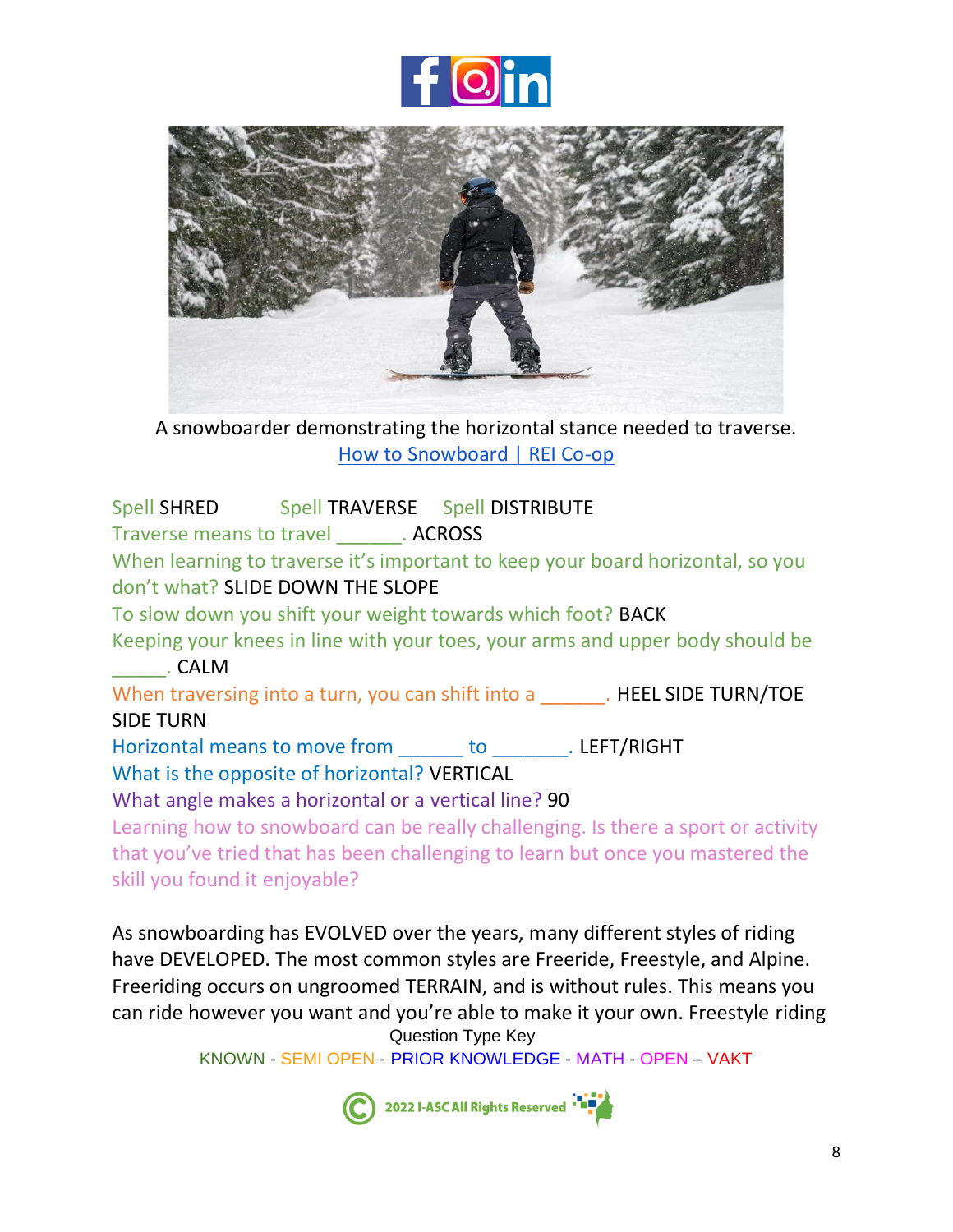



A snowboarder demonstrating the horizontal stance needed to traverse. [How to Snowboard | REI Co-op](https://www.rei.com/learn/expert-advice/how-to-snowboard.html)

Spell SHRED Spell TRAVERSE Spell DISTRIBUTE Traverse means to travel **ACROSS** When learning to traverse it's important to keep your board horizontal, so you don't what? SLIDE DOWN THE SLOPE To slow down you shift your weight towards which foot? BACK Keeping your knees in line with your toes, your arms and upper body should be \_\_\_\_\_. CALM When traversing into a turn, you can shift into a \_\_\_\_\_\_\_. HEEL SIDE TURN/TOE SIDE TURN Horizontal means to move from \_\_\_\_\_\_ to \_\_\_\_\_\_\_. LEFT/RIGHT What is the opposite of horizontal? VERTICAL What angle makes a horizontal or a vertical line? 90 Learning how to snowboard can be really challenging. Is there a sport or activity that you've tried that has been challenging to learn but once you mastered the skill you found it enjoyable?

Question Type Key As snowboarding has EVOLVED over the years, many different styles of riding have DEVELOPED. The most common styles are Freeride, Freestyle, and Alpine. Freeriding occurs on ungroomed TERRAIN, and is without rules. This means you can ride however you want and you're able to make it your own. Freestyle riding

KNOWN - SEMI OPEN - PRIOR KNOWLEDGE - MATH - OPEN – VAKT

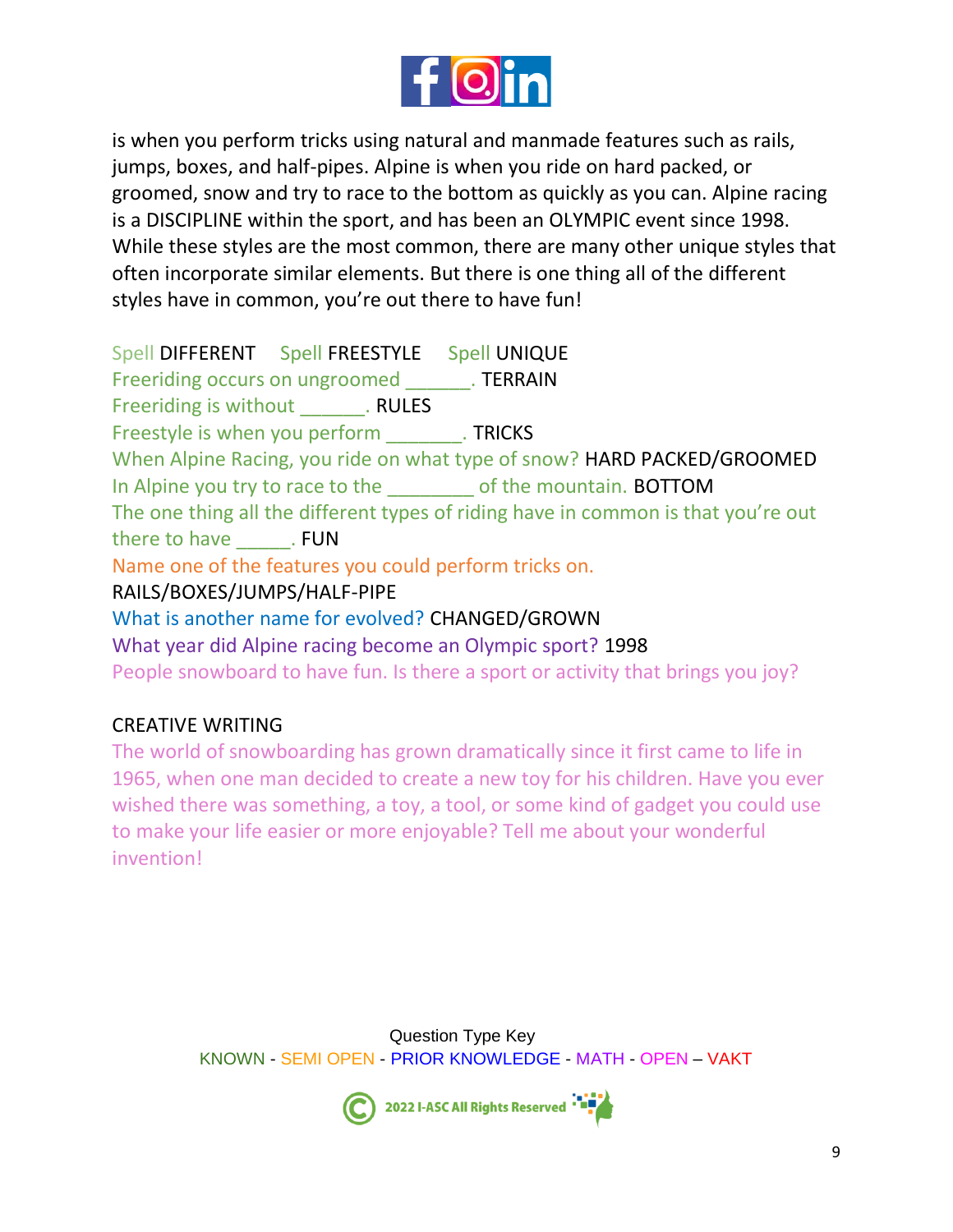

is when you perform tricks using natural and manmade features such as rails, jumps, boxes, and half-pipes. Alpine is when you ride on hard packed, or groomed, snow and try to race to the bottom as quickly as you can. Alpine racing is a DISCIPLINE within the sport, and has been an OLYMPIC event since 1998. While these styles are the most common, there are many other unique styles that often incorporate similar elements. But there is one thing all of the different styles have in common, you're out there to have fun!

Spell DIFFERENT Spell FREESTYLE Spell UNIQUE Freeriding occurs on ungroomed TERRAIN Freeriding is without Freeriding is without Freestyle is when you perform TRICKS When Alpine Racing, you ride on what type of snow? HARD PACKED/GROOMED In Alpine you try to race to the electron of the mountain. BOTTOM The one thing all the different types of riding have in common is that you're out there to have \_\_\_\_\_\_\_. FUN Name one of the features you could perform tricks on. RAILS/BOXES/JUMPS/HALF-PIPE What is another name for evolved? CHANGED/GROWN What year did Alpine racing become an Olympic sport? 1998 People snowboard to have fun. Is there a sport or activity that brings you joy?

## CREATIVE WRITING

The world of snowboarding has grown dramatically since it first came to life in 1965, when one man decided to create a new toy for his children. Have you ever wished there was something, a toy, a tool, or some kind of gadget you could use to make your life easier or more enjoyable? Tell me about your wonderful invention!